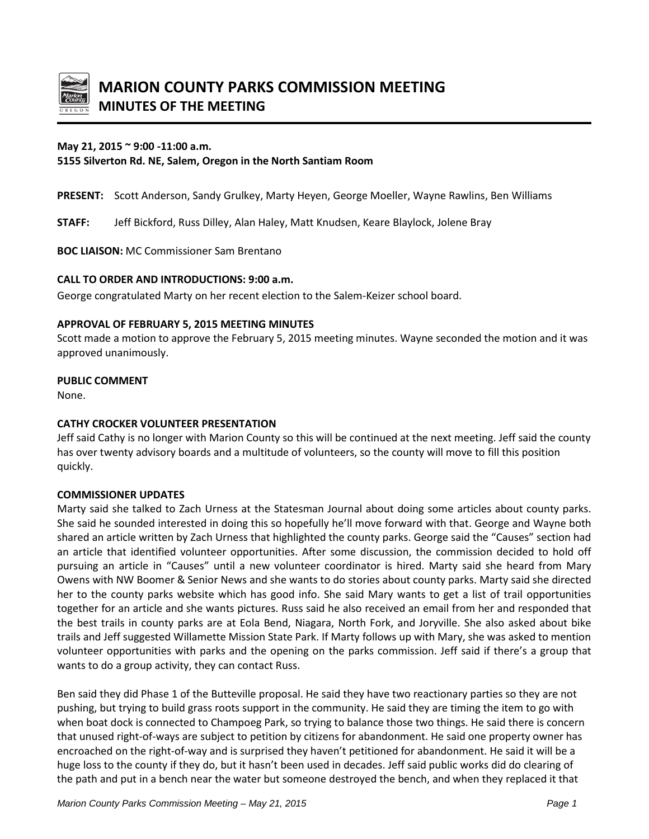

## **May 21, 2015 ~ 9:00 -11:00 a.m.**

**5155 Silverton Rd. NE, Salem, Oregon in the North Santiam Room** 

**PRESENT:** Scott Anderson, Sandy Grulkey, Marty Heyen, George Moeller, Wayne Rawlins, Ben Williams

**STAFF:** Jeff Bickford, Russ Dilley, Alan Haley, Matt Knudsen, Keare Blaylock, Jolene Bray

**BOC LIAISON:** MC Commissioner Sam Brentano

## **CALL TO ORDER AND INTRODUCTIONS: 9:00 a.m.**

George congratulated Marty on her recent election to the Salem-Keizer school board.

#### **APPROVAL OF FEBRUARY 5, 2015 MEETING MINUTES**

Scott made a motion to approve the February 5, 2015 meeting minutes. Wayne seconded the motion and it was approved unanimously.

## **PUBLIC COMMENT**

None.

## **CATHY CROCKER VOLUNTEER PRESENTATION**

Jeff said Cathy is no longer with Marion County so this will be continued at the next meeting. Jeff said the county has over twenty advisory boards and a multitude of volunteers, so the county will move to fill this position quickly.

## **COMMISSIONER UPDATES**

Marty said she talked to Zach Urness at the Statesman Journal about doing some articles about county parks. She said he sounded interested in doing this so hopefully he'll move forward with that. George and Wayne both shared an article written by Zach Urness that highlighted the county parks. George said the "Causes" section had an article that identified volunteer opportunities. After some discussion, the commission decided to hold off pursuing an article in "Causes" until a new volunteer coordinator is hired. Marty said she heard from Mary Owens with NW Boomer & Senior News and she wants to do stories about county parks. Marty said she directed her to the county parks website which has good info. She said Mary wants to get a list of trail opportunities together for an article and she wants pictures. Russ said he also received an email from her and responded that the best trails in county parks are at Eola Bend, Niagara, North Fork, and Joryville. She also asked about bike trails and Jeff suggested Willamette Mission State Park. If Marty follows up with Mary, she was asked to mention volunteer opportunities with parks and the opening on the parks commission. Jeff said if there's a group that wants to do a group activity, they can contact Russ.

Ben said they did Phase 1 of the Butteville proposal. He said they have two reactionary parties so they are not pushing, but trying to build grass roots support in the community. He said they are timing the item to go with when boat dock is connected to Champoeg Park, so trying to balance those two things. He said there is concern that unused right-of-ways are subject to petition by citizens for abandonment. He said one property owner has encroached on the right-of-way and is surprised they haven't petitioned for abandonment. He said it will be a huge loss to the county if they do, but it hasn't been used in decades. Jeff said public works did do clearing of the path and put in a bench near the water but someone destroyed the bench, and when they replaced it that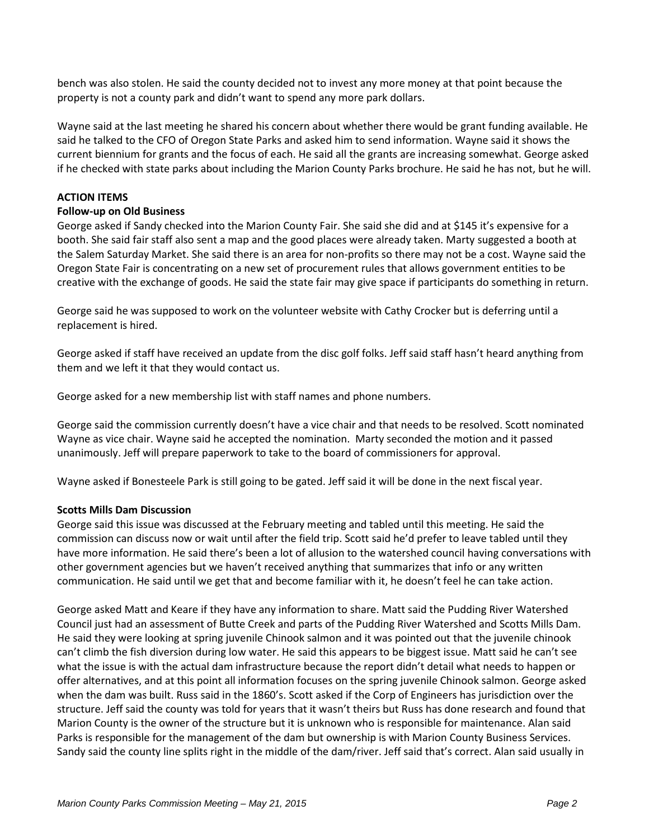bench was also stolen. He said the county decided not to invest any more money at that point because the property is not a county park and didn't want to spend any more park dollars.

Wayne said at the last meeting he shared his concern about whether there would be grant funding available. He said he talked to the CFO of Oregon State Parks and asked him to send information. Wayne said it shows the current biennium for grants and the focus of each. He said all the grants are increasing somewhat. George asked if he checked with state parks about including the Marion County Parks brochure. He said he has not, but he will.

# **ACTION ITEMS**

## **Follow-up on Old Business**

George asked if Sandy checked into the Marion County Fair. She said she did and at \$145 it's expensive for a booth. She said fair staff also sent a map and the good places were already taken. Marty suggested a booth at the Salem Saturday Market. She said there is an area for non-profits so there may not be a cost. Wayne said the Oregon State Fair is concentrating on a new set of procurement rules that allows government entities to be creative with the exchange of goods. He said the state fair may give space if participants do something in return.

George said he was supposed to work on the volunteer website with Cathy Crocker but is deferring until a replacement is hired.

George asked if staff have received an update from the disc golf folks. Jeff said staff hasn't heard anything from them and we left it that they would contact us.

George asked for a new membership list with staff names and phone numbers.

George said the commission currently doesn't have a vice chair and that needs to be resolved. Scott nominated Wayne as vice chair. Wayne said he accepted the nomination. Marty seconded the motion and it passed unanimously. Jeff will prepare paperwork to take to the board of commissioners for approval.

Wayne asked if Bonesteele Park is still going to be gated. Jeff said it will be done in the next fiscal year.

## **Scotts Mills Dam Discussion**

George said this issue was discussed at the February meeting and tabled until this meeting. He said the commission can discuss now or wait until after the field trip. Scott said he'd prefer to leave tabled until they have more information. He said there's been a lot of allusion to the watershed council having conversations with other government agencies but we haven't received anything that summarizes that info or any written communication. He said until we get that and become familiar with it, he doesn't feel he can take action.

George asked Matt and Keare if they have any information to share. Matt said the Pudding River Watershed Council just had an assessment of Butte Creek and parts of the Pudding River Watershed and Scotts Mills Dam. He said they were looking at spring juvenile Chinook salmon and it was pointed out that the juvenile chinook can't climb the fish diversion during low water. He said this appears to be biggest issue. Matt said he can't see what the issue is with the actual dam infrastructure because the report didn't detail what needs to happen or offer alternatives, and at this point all information focuses on the spring juvenile Chinook salmon. George asked when the dam was built. Russ said in the 1860's. Scott asked if the Corp of Engineers has jurisdiction over the structure. Jeff said the county was told for years that it wasn't theirs but Russ has done research and found that Marion County is the owner of the structure but it is unknown who is responsible for maintenance. Alan said Parks is responsible for the management of the dam but ownership is with Marion County Business Services. Sandy said the county line splits right in the middle of the dam/river. Jeff said that's correct. Alan said usually in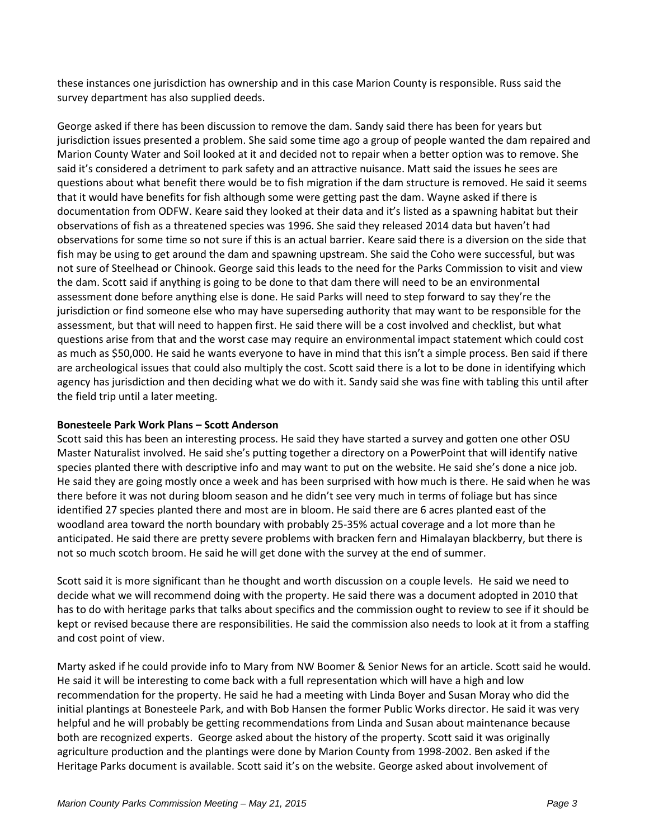these instances one jurisdiction has ownership and in this case Marion County is responsible. Russ said the survey department has also supplied deeds.

George asked if there has been discussion to remove the dam. Sandy said there has been for years but jurisdiction issues presented a problem. She said some time ago a group of people wanted the dam repaired and Marion County Water and Soil looked at it and decided not to repair when a better option was to remove. She said it's considered a detriment to park safety and an attractive nuisance. Matt said the issues he sees are questions about what benefit there would be to fish migration if the dam structure is removed. He said it seems that it would have benefits for fish although some were getting past the dam. Wayne asked if there is documentation from ODFW. Keare said they looked at their data and it's listed as a spawning habitat but their observations of fish as a threatened species was 1996. She said they released 2014 data but haven't had observations for some time so not sure if this is an actual barrier. Keare said there is a diversion on the side that fish may be using to get around the dam and spawning upstream. She said the Coho were successful, but was not sure of Steelhead or Chinook. George said this leads to the need for the Parks Commission to visit and view the dam. Scott said if anything is going to be done to that dam there will need to be an environmental assessment done before anything else is done. He said Parks will need to step forward to say they're the jurisdiction or find someone else who may have superseding authority that may want to be responsible for the assessment, but that will need to happen first. He said there will be a cost involved and checklist, but what questions arise from that and the worst case may require an environmental impact statement which could cost as much as \$50,000. He said he wants everyone to have in mind that this isn't a simple process. Ben said if there are archeological issues that could also multiply the cost. Scott said there is a lot to be done in identifying which agency has jurisdiction and then deciding what we do with it. Sandy said she was fine with tabling this until after the field trip until a later meeting.

## **Bonesteele Park Work Plans – Scott Anderson**

Scott said this has been an interesting process. He said they have started a survey and gotten one other OSU Master Naturalist involved. He said she's putting together a directory on a PowerPoint that will identify native species planted there with descriptive info and may want to put on the website. He said she's done a nice job. He said they are going mostly once a week and has been surprised with how much is there. He said when he was there before it was not during bloom season and he didn't see very much in terms of foliage but has since identified 27 species planted there and most are in bloom. He said there are 6 acres planted east of the woodland area toward the north boundary with probably 25-35% actual coverage and a lot more than he anticipated. He said there are pretty severe problems with bracken fern and Himalayan blackberry, but there is not so much scotch broom. He said he will get done with the survey at the end of summer.

Scott said it is more significant than he thought and worth discussion on a couple levels. He said we need to decide what we will recommend doing with the property. He said there was a document adopted in 2010 that has to do with heritage parks that talks about specifics and the commission ought to review to see if it should be kept or revised because there are responsibilities. He said the commission also needs to look at it from a staffing and cost point of view.

Marty asked if he could provide info to Mary from NW Boomer & Senior News for an article. Scott said he would. He said it will be interesting to come back with a full representation which will have a high and low recommendation for the property. He said he had a meeting with Linda Boyer and Susan Moray who did the initial plantings at Bonesteele Park, and with Bob Hansen the former Public Works director. He said it was very helpful and he will probably be getting recommendations from Linda and Susan about maintenance because both are recognized experts. George asked about the history of the property. Scott said it was originally agriculture production and the plantings were done by Marion County from 1998-2002. Ben asked if the Heritage Parks document is available. Scott said it's on the website. George asked about involvement of